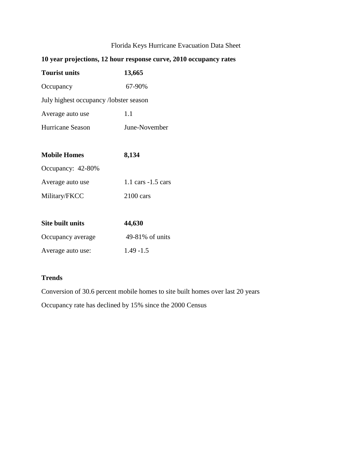# Florida Keys Hurricane Evacuation Data Sheet

| 10 year projections, 12 hour response curve, 2010 occupancy rates |                                       |  |
|-------------------------------------------------------------------|---------------------------------------|--|
| <b>Tourist units</b>                                              | 13,665                                |  |
| Occupancy                                                         | 67-90%                                |  |
| July highest occupancy /lobster season                            |                                       |  |
| Average auto use                                                  | 1.1                                   |  |
| Hurricane Season                                                  | June-November                         |  |
|                                                                   |                                       |  |
| <b>Mobile Homes</b>                                               | 8,134                                 |  |
| Occupancy: 42-80%                                                 |                                       |  |
| Average auto use                                                  | $1.1 \text{ cars} - 1.5 \text{ cars}$ |  |
| Military/FKCC                                                     | $2100$ cars                           |  |
|                                                                   |                                       |  |
| <b>Site built units</b>                                           | 44,630                                |  |
| Occupancy average                                                 | 49-81% of units                       |  |
| Average auto use:                                                 | $1.49 - 1.5$                          |  |

## **Trends**

Conversion of 30.6 percent mobile homes to site built homes over last 20 years

Occupancy rate has declined by 15% since the 2000 Census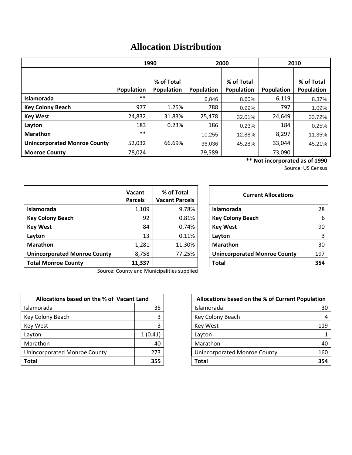# **Allocation Distribution**

|                                     | 1990              |            | 2000              |            | 2010       |            |
|-------------------------------------|-------------------|------------|-------------------|------------|------------|------------|
|                                     |                   |            |                   |            |            |            |
|                                     |                   | % of Total |                   | % of Total |            | % of Total |
|                                     | <b>Population</b> | Population | <b>Population</b> | Population | Population | Population |
| Islamorada                          | $***$             |            | 6.846             | 8.60%      | 6,119      | 8.37%      |
| <b>Key Colony Beach</b>             | 977               | 1.25%      | 788               | 0.99%      | 797        | 1.09%      |
| <b>Key West</b>                     | 24,832            | 31.83%     | 25,478            | 32.01%     | 24,649     | 33.72%     |
| Layton                              | 183               | 0.23%      | 186               | 0.23%      | 184        | 0.25%      |
| <b>Marathon</b>                     | $***$             |            | 10,255            | 12.88%     | 8,297      | 11.35%     |
| <b>Unincorporated Monroe County</b> | 52,032            | 66.69%     | 36.036            | 45.28%     | 33,044     | 45.21%     |
| <b>Monroe County</b>                | 78,024            |            | 79,589            |            | 73,090     |            |

**\*\* Not incorporated as of 1990**

Source: US Census

|                                     | Vacant<br><b>Parcels</b> | % of Total<br><b>Vacant Parcels</b> | <b>Current Allocations</b>          |     |
|-------------------------------------|--------------------------|-------------------------------------|-------------------------------------|-----|
| Islamorada                          | 1,109                    | 9.78%                               | Islamorada                          | 28  |
| <b>Key Colony Beach</b>             | 92                       | 0.81%                               | <b>Key Colony Beach</b>             | 6   |
| <b>Key West</b>                     | 84                       | 0.74%                               | <b>Key West</b>                     | 90  |
| Layton                              | 13                       | 0.11%                               | Layton                              | 3   |
| <b>Marathon</b>                     | 1,281                    | 11.30%                              | <b>Marathon</b>                     | 30  |
| <b>Unincorporated Monroe County</b> | 8,758                    | 77.25%                              | <b>Unincorporated Monroe County</b> | 197 |
| <b>Total Monroe County</b>          | 11,337                   |                                     | <b>Total</b>                        | 354 |

| <b>Current Allocations</b>          |     |  |
|-------------------------------------|-----|--|
| Islamorada                          | 28  |  |
| <b>Key Colony Beach</b>             | 6   |  |
| <b>Key West</b>                     | 90  |  |
| Layton                              | 3   |  |
| <b>Marathon</b>                     | 30  |  |
| <b>Unincorporated Monroe County</b> | 197 |  |
| <b>Total</b>                        | 354 |  |

Source: County and Municipalities supplied

| Allocations based on the % of Vacant Land |         | Allocations based on the % of Current Population |     |
|-------------------------------------------|---------|--------------------------------------------------|-----|
| Islamorada                                | 35      | <b>Islamorada</b>                                | 30  |
| Key Colony Beach                          |         | Key Colony Beach                                 | 4   |
| <b>Key West</b>                           |         | <b>Key West</b>                                  | 119 |
| Layton                                    | 1(0.41) | Layton                                           | 1   |
| Marathon                                  | 40      | Marathon                                         | 40  |
| Unincorporated Monroe County              | 273     | Unincorporated Monroe County                     | 160 |
| <b>Total</b>                              | 355     | Total                                            | 354 |

| Allocations based on the % of Vacant Land |         | Allocations based on the % of Current Population |     |
|-------------------------------------------|---------|--------------------------------------------------|-----|
| าorada                                    | 35      | Islamorada                                       | 30  |
| Colony Beach                              | 3       | Key Colony Beach                                 |     |
| Nest                                      |         | Key West                                         | 119 |
| วท                                        | 1(0.41) | Layton                                           |     |
| athon                                     | 40      | Marathon                                         | 40  |
| corporated Monroe County                  | 273     | <b>Unincorporated Monroe County</b>              | 160 |
|                                           | 355     | Total                                            | 354 |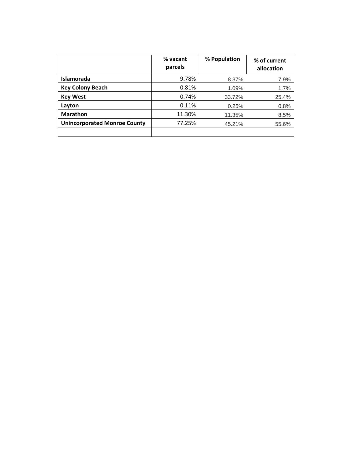|                                     | % vacant<br>parcels | % Population | % of current<br>allocation |
|-------------------------------------|---------------------|--------------|----------------------------|
| Islamorada                          | 9.78%               | 8.37%        | 7.9%                       |
| <b>Key Colony Beach</b>             | 0.81%               | 1.09%        | 1.7%                       |
| <b>Key West</b>                     | 0.74%               | 33.72%       | 25.4%                      |
| Layton                              | 0.11%               | 0.25%        | 0.8%                       |
| <b>Marathon</b>                     | 11.30%              | 11.35%       | 8.5%                       |
| <b>Unincorporated Monroe County</b> | 77.25%              | 45.21%       | 55.6%                      |
|                                     |                     |              |                            |